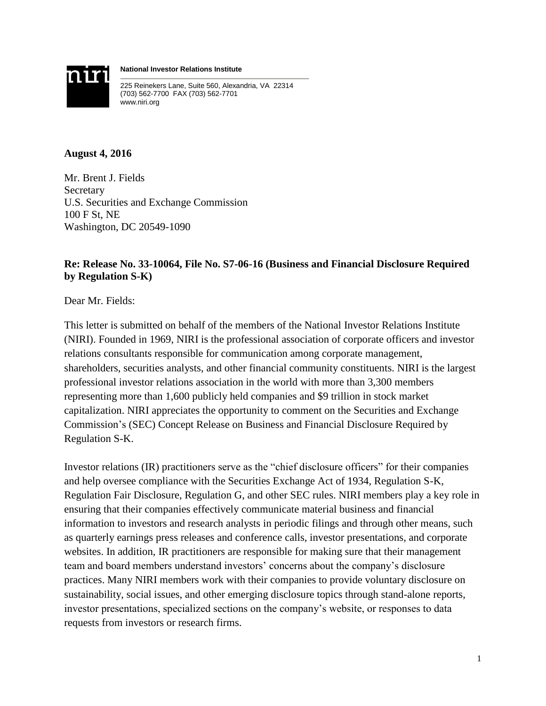

**National Investor Relations Institute**

225 Reinekers Lane, Suite 560, Alexandria, VA 22314 (703) 562-7700 FAX (703) 562-7701 www.niri.org

### **August 4, 2016**

Mr. Brent J. Fields Secretary U.S. Securities and Exchange Commission 100 F St, NE Washington, DC 20549-1090

# **Re: Release No. 33-10064, File No. S7-06-16 (Business and Financial Disclosure Required by Regulation S-K)**

Dear Mr. Fields:

This letter is submitted on behalf of the members of the National Investor Relations Institute (NIRI). Founded in 1969, NIRI is the professional association of corporate officers and investor relations consultants responsible for communication among corporate management, shareholders, securities analysts, and other financial community constituents. NIRI is the largest professional investor relations association in the world with more than 3,300 members representing more than 1,600 publicly held companies and \$9 trillion in stock market capitalization. NIRI appreciates the opportunity to comment on the Securities and Exchange Commission's (SEC) Concept Release on Business and Financial Disclosure Required by Regulation S-K.

Investor relations (IR) practitioners serve as the "chief disclosure officers" for their companies and help oversee compliance with the Securities Exchange Act of 1934, Regulation S-K, Regulation Fair Disclosure, Regulation G, and other SEC rules. NIRI members play a key role in ensuring that their companies effectively communicate material business and financial information to investors and research analysts in periodic filings and through other means, such as quarterly earnings press releases and conference calls, investor presentations, and corporate websites. In addition, IR practitioners are responsible for making sure that their management team and board members understand investors' concerns about the company's disclosure practices. Many NIRI members work with their companies to provide voluntary disclosure on sustainability, social issues, and other emerging disclosure topics through stand-alone reports, investor presentations, specialized sections on the company's website, or responses to data requests from investors or research firms.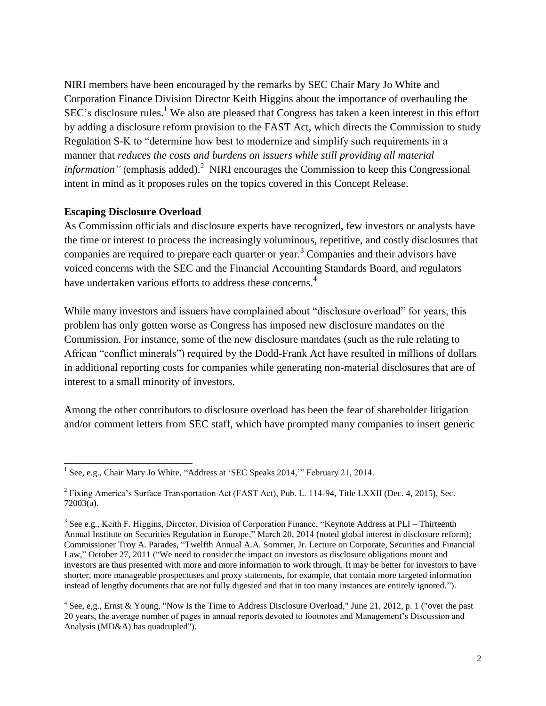NIRI members have been encouraged by the remarks by SEC Chair Mary Jo White and Corporation Finance Division Director Keith Higgins about the importance of overhauling the SEC's disclosure rules.<sup>1</sup> We also are pleased that Congress has taken a keen interest in this effort by adding a disclosure reform provision to the FAST Act, which directs the Commission to study Regulation S-K to "determine how best to modernize and simplify such requirements in a manner that *reduces the costs and burdens on issuers while still providing all material information"* (emphasis added). <sup>2</sup> NIRI encourages the Commission to keep this Congressional intent in mind as it proposes rules on the topics covered in this Concept Release.

#### **Escaping Disclosure Overload**

As Commission officials and disclosure experts have recognized, few investors or analysts have the time or interest to process the increasingly voluminous, repetitive, and costly disclosures that companies are required to prepare each quarter or year. <sup>3</sup> Companies and their advisors have voiced concerns with the SEC and the Financial Accounting Standards Board, and regulators have undertaken various efforts to address these concerns.<sup>4</sup>

While many investors and issuers have complained about "disclosure overload" for years, this problem has only gotten worse as Congress has imposed new disclosure mandates on the Commission. For instance, some of the new disclosure mandates (such as the rule relating to African "conflict minerals") required by the Dodd-Frank Act have resulted in millions of dollars in additional reporting costs for companies while generating non-material disclosures that are of interest to a small minority of investors.

Among the other contributors to disclosure overload has been the fear of shareholder litigation and/or comment letters from SEC staff, which have prompted many companies to insert generic

 1 See, e.g., Chair Mary Jo White, "Address at 'SEC Speaks 2014,'" February 21, 2014.

<sup>&</sup>lt;sup>2</sup> Fixing America's Surface Transportation Act (FAST Act), Pub. L. 114-94, Title LXXII (Dec. 4, 2015), Sec. 72003(a).

<sup>&</sup>lt;sup>3</sup> See e.g., Keith F. Higgins, Director, Division of Corporation Finance, "Keynote Address at PLI – Thirteenth Annual Institute on Securities Regulation in Europe," March 20, 2014 (noted global interest in disclosure reform); Commissioner Troy A. Parades, "Twelfth Annual A.A. Sommer, Jr. Lecture on Corporate, Securities and Financial Law," October 27, 2011 ("We need to consider the impact on investors as disclosure obligations mount and investors are thus presented with more and more information to work through. It may be better for investors to have shorter, more manageable prospectuses and proxy statements, for example, that contain more targeted information instead of lengthy documents that are not fully digested and that in too many instances are entirely ignored.").

<sup>&</sup>lt;sup>4</sup> See, e,g., Ernst & Young, "Now Is the Time to Address Disclosure Overload," June 21, 2012, p. 1 ("over the past 20 years, the average number of pages in annual reports devoted to footnotes and Management's Discussion and Analysis (MD&A) has quadrupled").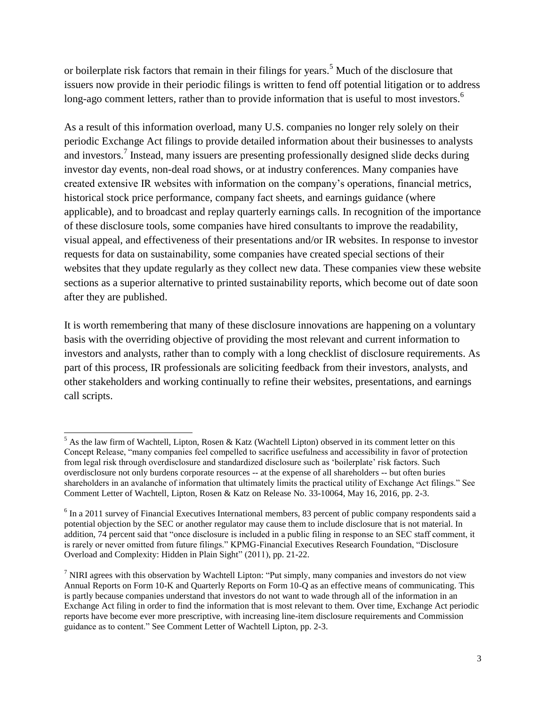or boilerplate risk factors that remain in their filings for years.<sup>5</sup> Much of the disclosure that issuers now provide in their periodic filings is written to fend off potential litigation or to address long-ago comment letters, rather than to provide information that is useful to most investors.<sup>6</sup>

As a result of this information overload, many U.S. companies no longer rely solely on their periodic Exchange Act filings to provide detailed information about their businesses to analysts and investors.<sup>7</sup> Instead, many issuers are presenting professionally designed slide decks during investor day events, non-deal road shows, or at industry conferences. Many companies have created extensive IR websites with information on the company's operations, financial metrics, historical stock price performance, company fact sheets, and earnings guidance (where applicable), and to broadcast and replay quarterly earnings calls. In recognition of the importance of these disclosure tools, some companies have hired consultants to improve the readability, visual appeal, and effectiveness of their presentations and/or IR websites. In response to investor requests for data on sustainability, some companies have created special sections of their websites that they update regularly as they collect new data. These companies view these website sections as a superior alternative to printed sustainability reports, which become out of date soon after they are published.

It is worth remembering that many of these disclosure innovations are happening on a voluntary basis with the overriding objective of providing the most relevant and current information to investors and analysts, rather than to comply with a long checklist of disclosure requirements. As part of this process, IR professionals are soliciting feedback from their investors, analysts, and other stakeholders and working continually to refine their websites, presentations, and earnings call scripts.

 $\overline{\phantom{a}}$ 

 $<sup>5</sup>$  As the law firm of Wachtell, Lipton, Rosen & Katz (Wachtell Lipton) observed in its comment letter on this</sup> Concept Release, "many companies feel compelled to sacrifice usefulness and accessibility in favor of protection from legal risk through overdisclosure and standardized disclosure such as 'boilerplate' risk factors. Such overdisclosure not only burdens corporate resources -- at the expense of all shareholders -- but often buries shareholders in an avalanche of information that ultimately limits the practical utility of Exchange Act filings." See Comment Letter of Wachtell, Lipton, Rosen & Katz on Release No. 33-10064, May 16, 2016, pp. 2-3.

<sup>&</sup>lt;sup>6</sup> In a 2011 survey of Financial Executives International members, 83 percent of public company respondents said a potential objection by the SEC or another regulator may cause them to include disclosure that is not material. In addition, 74 percent said that "once disclosure is included in a public filing in response to an SEC staff comment, it is rarely or never omitted from future filings." KPMG-Financial Executives Research Foundation, "Disclosure Overload and Complexity: Hidden in Plain Sight" (2011), pp. 21-22.

<sup>&</sup>lt;sup>7</sup> NIRI agrees with this observation by Wachtell Lipton: "Put simply, many companies and investors do not view Annual Reports on Form 10-K and Quarterly Reports on Form 10-Q as an effective means of communicating. This is partly because companies understand that investors do not want to wade through all of the information in an Exchange Act filing in order to find the information that is most relevant to them. Over time, Exchange Act periodic reports have become ever more prescriptive, with increasing line-item disclosure requirements and Commission guidance as to content." See Comment Letter of Wachtell Lipton, pp. 2-3.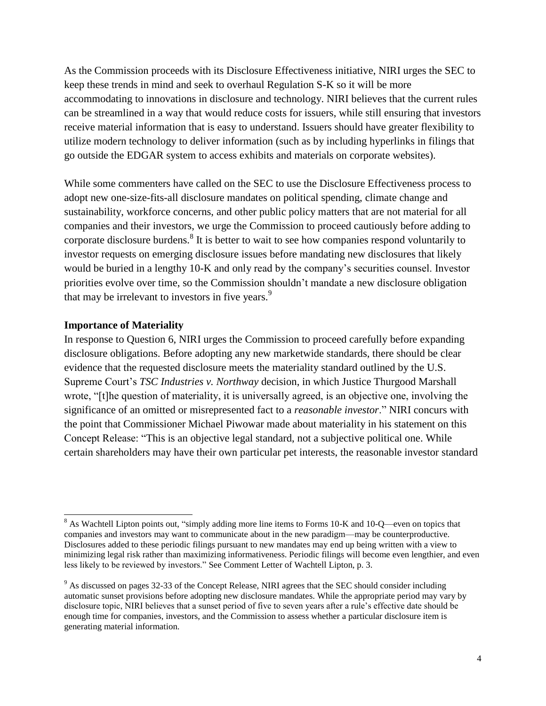As the Commission proceeds with its Disclosure Effectiveness initiative, NIRI urges the SEC to keep these trends in mind and seek to overhaul Regulation S-K so it will be more accommodating to innovations in disclosure and technology. NIRI believes that the current rules can be streamlined in a way that would reduce costs for issuers, while still ensuring that investors receive material information that is easy to understand. Issuers should have greater flexibility to utilize modern technology to deliver information (such as by including hyperlinks in filings that go outside the EDGAR system to access exhibits and materials on corporate websites).

While some commenters have called on the SEC to use the Disclosure Effectiveness process to adopt new one-size-fits-all disclosure mandates on political spending, climate change and sustainability, workforce concerns, and other public policy matters that are not material for all companies and their investors, we urge the Commission to proceed cautiously before adding to corporate disclosure burdens.<sup>8</sup> It is better to wait to see how companies respond voluntarily to investor requests on emerging disclosure issues before mandating new disclosures that likely would be buried in a lengthy 10-K and only read by the company's securities counsel. Investor priorities evolve over time, so the Commission shouldn't mandate a new disclosure obligation that may be irrelevant to investors in five years.<sup>9</sup>

#### **Importance of Materiality**

 $\overline{a}$ 

In response to Question 6, NIRI urges the Commission to proceed carefully before expanding disclosure obligations. Before adopting any new marketwide standards, there should be clear evidence that the requested disclosure meets the materiality standard outlined by the U.S. Supreme Court's *TSC Industries v. Northway* decision, in which Justice Thurgood Marshall wrote, "[t]he question of materiality, it is universally agreed, is an objective one, involving the significance of an omitted or misrepresented fact to a *reasonable investor*." NIRI concurs with the point that Commissioner Michael Piwowar made about materiality in his statement on this Concept Release: "This is an objective legal standard, not a subjective political one. While certain shareholders may have their own particular pet interests, the reasonable investor standard

<sup>&</sup>lt;sup>8</sup> As Wachtell Lipton points out, "simply adding more line items to Forms 10-K and 10-Q—even on topics that companies and investors may want to communicate about in the new paradigm—may be counterproductive. Disclosures added to these periodic filings pursuant to new mandates may end up being written with a view to minimizing legal risk rather than maximizing informativeness. Periodic filings will become even lengthier, and even less likely to be reviewed by investors." See Comment Letter of Wachtell Lipton, p. 3.

<sup>&</sup>lt;sup>9</sup> As discussed on pages 32-33 of the Concept Release, NIRI agrees that the SEC should consider including automatic sunset provisions before adopting new disclosure mandates. While the appropriate period may vary by disclosure topic, NIRI believes that a sunset period of five to seven years after a rule's effective date should be enough time for companies, investors, and the Commission to assess whether a particular disclosure item is generating material information.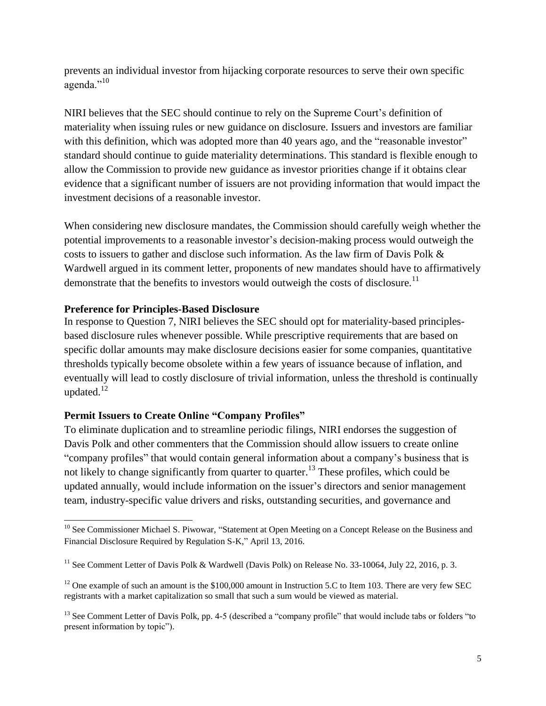prevents an individual investor from hijacking corporate resources to serve their own specific agenda."<sup>10</sup>

NIRI believes that the SEC should continue to rely on the Supreme Court's definition of materiality when issuing rules or new guidance on disclosure. Issuers and investors are familiar with this definition, which was adopted more than 40 years ago, and the "reasonable investor" standard should continue to guide materiality determinations. This standard is flexible enough to allow the Commission to provide new guidance as investor priorities change if it obtains clear evidence that a significant number of issuers are not providing information that would impact the investment decisions of a reasonable investor.

When considering new disclosure mandates, the Commission should carefully weigh whether the potential improvements to a reasonable investor's decision-making process would outweigh the costs to issuers to gather and disclose such information. As the law firm of Davis Polk & Wardwell argued in its comment letter, proponents of new mandates should have to affirmatively demonstrate that the benefits to investors would outweigh the costs of disclosure.<sup>11</sup>

### **Preference for Principles-Based Disclosure**

 $\overline{a}$ 

In response to Question 7, NIRI believes the SEC should opt for materiality-based principlesbased disclosure rules whenever possible. While prescriptive requirements that are based on specific dollar amounts may make disclosure decisions easier for some companies, quantitative thresholds typically become obsolete within a few years of issuance because of inflation, and eventually will lead to costly disclosure of trivial information, unless the threshold is continually updated. $12$ 

# **Permit Issuers to Create Online "Company Profiles"**

To eliminate duplication and to streamline periodic filings, NIRI endorses the suggestion of Davis Polk and other commenters that the Commission should allow issuers to create online "company profiles" that would contain general information about a company's business that is not likely to change significantly from quarter to quarter.<sup>13</sup> These profiles, which could be updated annually, would include information on the issuer's directors and senior management team, industry-specific value drivers and risks, outstanding securities, and governance and

<sup>&</sup>lt;sup>10</sup> See Commissioner Michael S. Piwowar, "Statement at Open Meeting on a Concept Release on the Business and Financial Disclosure Required by Regulation S-K," April 13, 2016.

<sup>&</sup>lt;sup>11</sup> See Comment Letter of Davis Polk & Wardwell (Davis Polk) on Release No. 33-10064, July 22, 2016, p. 3.

 $12$  One example of such an amount is the \$100,000 amount in Instruction 5.C to Item 103. There are very few SEC registrants with a market capitalization so small that such a sum would be viewed as material.

 $<sup>13</sup>$  See Comment Letter of Davis Polk, pp. 4-5 (described a "company profile" that would include tabs or folders "to</sup> present information by topic").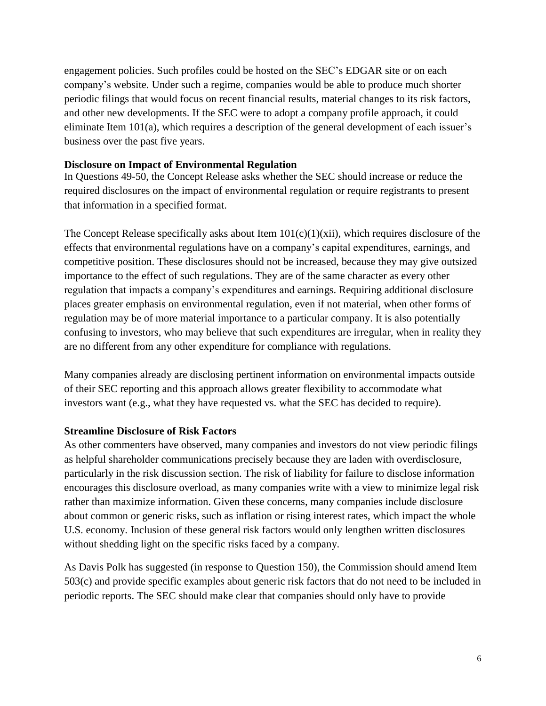engagement policies. Such profiles could be hosted on the SEC's EDGAR site or on each company's website. Under such a regime, companies would be able to produce much shorter periodic filings that would focus on recent financial results, material changes to its risk factors, and other new developments. If the SEC were to adopt a company profile approach, it could eliminate Item 101(a), which requires a description of the general development of each issuer's business over the past five years.

## **Disclosure on Impact of Environmental Regulation**

In Questions 49-50, the Concept Release asks whether the SEC should increase or reduce the required disclosures on the impact of environmental regulation or require registrants to present that information in a specified format.

The Concept Release specifically asks about Item  $101(c)(1)(xii)$ , which requires disclosure of the effects that environmental regulations have on a company's capital expenditures, earnings, and competitive position. These disclosures should not be increased, because they may give outsized importance to the effect of such regulations. They are of the same character as every other regulation that impacts a company's expenditures and earnings. Requiring additional disclosure places greater emphasis on environmental regulation, even if not material, when other forms of regulation may be of more material importance to a particular company. It is also potentially confusing to investors, who may believe that such expenditures are irregular, when in reality they are no different from any other expenditure for compliance with regulations.

Many companies already are disclosing pertinent information on environmental impacts outside of their SEC reporting and this approach allows greater flexibility to accommodate what investors want (e.g., what they have requested vs. what the SEC has decided to require).

# **Streamline Disclosure of Risk Factors**

As other commenters have observed, many companies and investors do not view periodic filings as helpful shareholder communications precisely because they are laden with overdisclosure, particularly in the risk discussion section. The risk of liability for failure to disclose information encourages this disclosure overload, as many companies write with a view to minimize legal risk rather than maximize information. Given these concerns, many companies include disclosure about common or generic risks, such as inflation or rising interest rates, which impact the whole U.S. economy. Inclusion of these general risk factors would only lengthen written disclosures without shedding light on the specific risks faced by a company.

As Davis Polk has suggested (in response to Question 150), the Commission should amend Item 503(c) and provide specific examples about generic risk factors that do not need to be included in periodic reports. The SEC should make clear that companies should only have to provide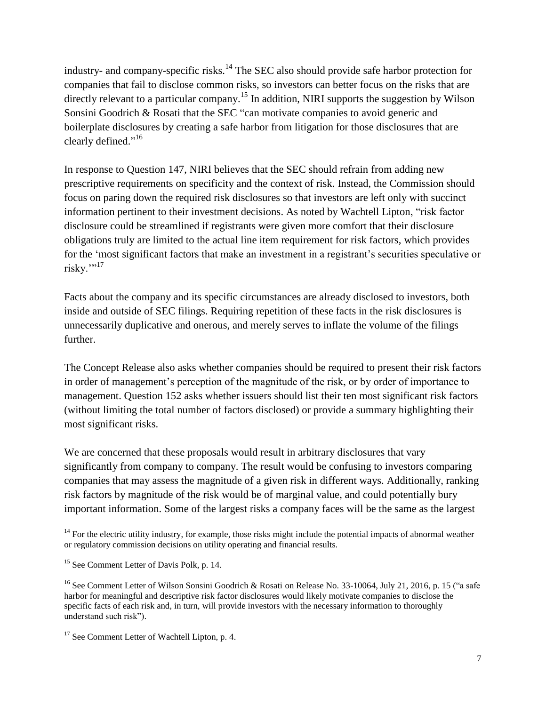industry- and company-specific risks.<sup>14</sup> The SEC also should provide safe harbor protection for companies that fail to disclose common risks, so investors can better focus on the risks that are directly relevant to a particular company.<sup>15</sup> In addition, NIRI supports the suggestion by Wilson Sonsini Goodrich & Rosati that the SEC "can motivate companies to avoid generic and boilerplate disclosures by creating a safe harbor from litigation for those disclosures that are clearly defined."<sup>16</sup>

In response to Question 147, NIRI believes that the SEC should refrain from adding new prescriptive requirements on specificity and the context of risk. Instead, the Commission should focus on paring down the required risk disclosures so that investors are left only with succinct information pertinent to their investment decisions. As noted by Wachtell Lipton, "risk factor disclosure could be streamlined if registrants were given more comfort that their disclosure obligations truly are limited to the actual line item requirement for risk factors, which provides for the 'most significant factors that make an investment in a registrant's securities speculative or  $riskv.$ <sup>"17</sup>

Facts about the company and its specific circumstances are already disclosed to investors, both inside and outside of SEC filings. Requiring repetition of these facts in the risk disclosures is unnecessarily duplicative and onerous, and merely serves to inflate the volume of the filings further.

The Concept Release also asks whether companies should be required to present their risk factors in order of management's perception of the magnitude of the risk, or by order of importance to management. Question 152 asks whether issuers should list their ten most significant risk factors (without limiting the total number of factors disclosed) or provide a summary highlighting their most significant risks.

We are concerned that these proposals would result in arbitrary disclosures that vary significantly from company to company. The result would be confusing to investors comparing companies that may assess the magnitude of a given risk in different ways. Additionally, ranking risk factors by magnitude of the risk would be of marginal value, and could potentially bury important information. Some of the largest risks a company faces will be the same as the largest

 $\overline{\phantom{a}}$ 

 $14$  For the electric utility industry, for example, those risks might include the potential impacts of abnormal weather or regulatory commission decisions on utility operating and financial results.

<sup>&</sup>lt;sup>15</sup> See Comment Letter of Davis Polk, p. 14.

<sup>&</sup>lt;sup>16</sup> See Comment Letter of Wilson Sonsini Goodrich & Rosati on Release No. 33-10064, July 21, 2016, p. 15 ("a safe") harbor for meaningful and descriptive risk factor disclosures would likely motivate companies to disclose the specific facts of each risk and, in turn, will provide investors with the necessary information to thoroughly understand such risk").

<sup>&</sup>lt;sup>17</sup> See Comment Letter of Wachtell Lipton, p. 4.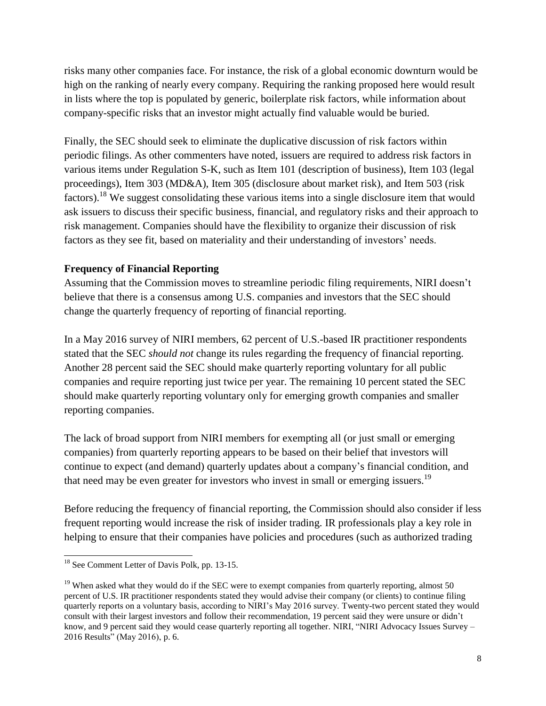risks many other companies face. For instance, the risk of a global economic downturn would be high on the ranking of nearly every company. Requiring the ranking proposed here would result in lists where the top is populated by generic, boilerplate risk factors, while information about company-specific risks that an investor might actually find valuable would be buried.

Finally, the SEC should seek to eliminate the duplicative discussion of risk factors within periodic filings. As other commenters have noted, issuers are required to address risk factors in various items under Regulation S-K, such as Item 101 (description of business), Item 103 (legal proceedings), Item 303 (MD&A), Item 305 (disclosure about market risk), and Item 503 (risk factors).<sup>18</sup> We suggest consolidating these various items into a single disclosure item that would ask issuers to discuss their specific business, financial, and regulatory risks and their approach to risk management. Companies should have the flexibility to organize their discussion of risk factors as they see fit, based on materiality and their understanding of investors' needs.

# **Frequency of Financial Reporting**

Assuming that the Commission moves to streamline periodic filing requirements, NIRI doesn't believe that there is a consensus among U.S. companies and investors that the SEC should change the quarterly frequency of reporting of financial reporting.

In a May 2016 survey of NIRI members, 62 percent of U.S.-based IR practitioner respondents stated that the SEC *should not* change its rules regarding the frequency of financial reporting. Another 28 percent said the SEC should make quarterly reporting voluntary for all public companies and require reporting just twice per year. The remaining 10 percent stated the SEC should make quarterly reporting voluntary only for emerging growth companies and smaller reporting companies.

The lack of broad support from NIRI members for exempting all (or just small or emerging companies) from quarterly reporting appears to be based on their belief that investors will continue to expect (and demand) quarterly updates about a company's financial condition, and that need may be even greater for investors who invest in small or emerging issuers.<sup>19</sup>

Before reducing the frequency of financial reporting, the Commission should also consider if less frequent reporting would increase the risk of insider trading. IR professionals play a key role in helping to ensure that their companies have policies and procedures (such as authorized trading

 $\overline{a}$ 

<sup>&</sup>lt;sup>18</sup> See Comment Letter of Davis Polk, pp. 13-15.

<sup>&</sup>lt;sup>19</sup> When asked what they would do if the SEC were to exempt companies from quarterly reporting, almost 50 percent of U.S. IR practitioner respondents stated they would advise their company (or clients) to continue filing quarterly reports on a voluntary basis, according to NIRI's May 2016 survey. Twenty-two percent stated they would consult with their largest investors and follow their recommendation, 19 percent said they were unsure or didn't know, and 9 percent said they would cease quarterly reporting all together. NIRI, "NIRI Advocacy Issues Survey – 2016 Results" (May 2016), p. 6.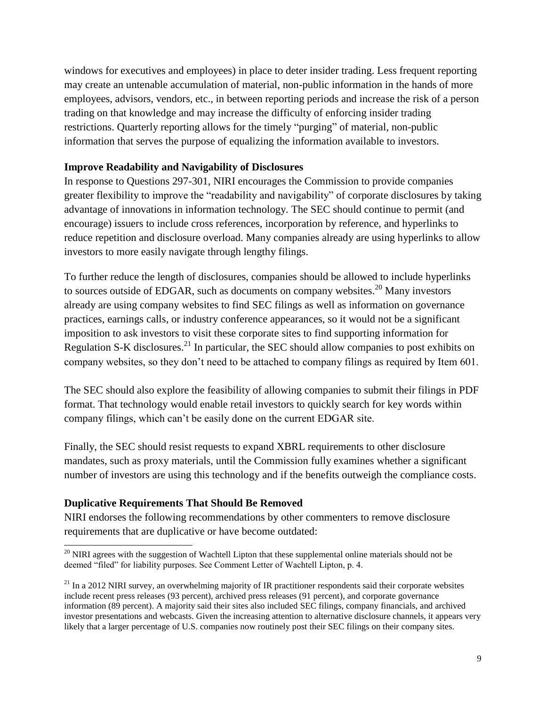windows for executives and employees) in place to deter insider trading. Less frequent reporting may create an untenable accumulation of material, non-public information in the hands of more employees, advisors, vendors, etc., in between reporting periods and increase the risk of a person trading on that knowledge and may increase the difficulty of enforcing insider trading restrictions. Quarterly reporting allows for the timely "purging" of material, non-public information that serves the purpose of equalizing the information available to investors.

## **Improve Readability and Navigability of Disclosures**

In response to Questions 297-301, NIRI encourages the Commission to provide companies greater flexibility to improve the "readability and navigability" of corporate disclosures by taking advantage of innovations in information technology. The SEC should continue to permit (and encourage) issuers to include cross references, incorporation by reference, and hyperlinks to reduce repetition and disclosure overload. Many companies already are using hyperlinks to allow investors to more easily navigate through lengthy filings.

To further reduce the length of disclosures, companies should be allowed to include hyperlinks to sources outside of EDGAR, such as documents on company websites.<sup>20</sup> Many investors already are using company websites to find SEC filings as well as information on governance practices, earnings calls, or industry conference appearances, so it would not be a significant imposition to ask investors to visit these corporate sites to find supporting information for Regulation S-K disclosures.<sup>21</sup> In particular, the SEC should allow companies to post exhibits on company websites, so they don't need to be attached to company filings as required by Item 601.

The SEC should also explore the feasibility of allowing companies to submit their filings in PDF format. That technology would enable retail investors to quickly search for key words within company filings, which can't be easily done on the current EDGAR site.

Finally, the SEC should resist requests to expand XBRL requirements to other disclosure mandates, such as proxy materials, until the Commission fully examines whether a significant number of investors are using this technology and if the benefits outweigh the compliance costs.

# **Duplicative Requirements That Should Be Removed**

NIRI endorses the following recommendations by other commenters to remove disclosure requirements that are duplicative or have become outdated:

l  $20$  NIRI agrees with the suggestion of Wachtell Lipton that these supplemental online materials should not be deemed "filed" for liability purposes. See Comment Letter of Wachtell Lipton, p. 4.

 $^{21}$  In a 2012 NIRI survey, an overwhelming majority of IR practitioner respondents said their corporate websites include recent press releases (93 percent), archived press releases (91 percent), and corporate governance information (89 percent). A majority said their sites also included SEC filings, company financials, and archived investor presentations and webcasts. Given the increasing attention to alternative disclosure channels, it appears very likely that a larger percentage of U.S. companies now routinely post their SEC filings on their company sites.